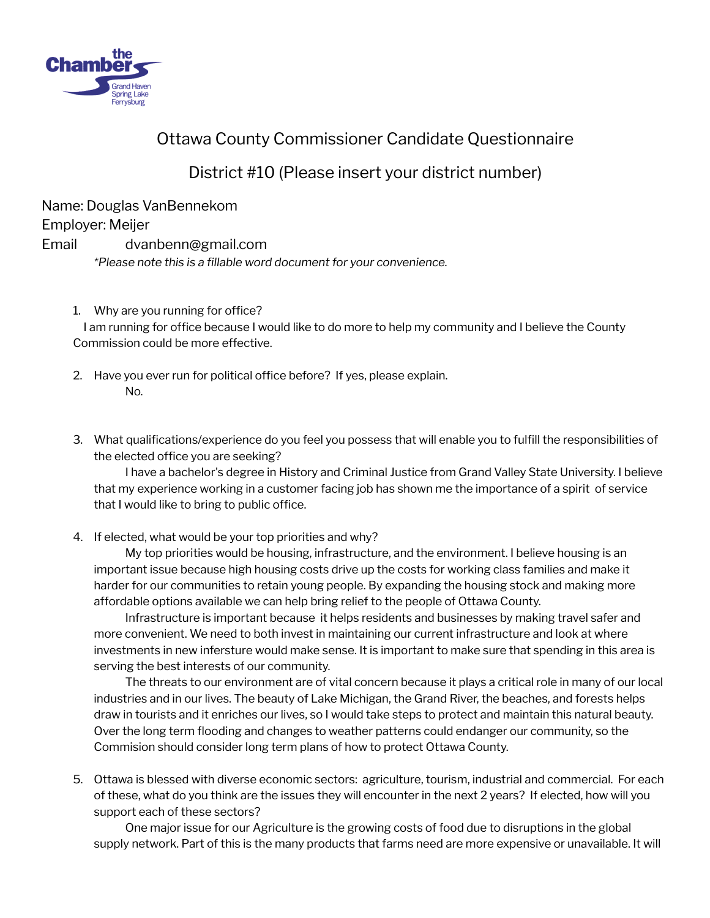

## Ottawa County Commissioner Candidate Questionnaire

District #10 (Please insert your district number)

Name: Douglas VanBennekom

Employer: Meijer

## Email dvanbenn@gmail.com

*\*Please note this is a fillable word document for your convenience.*

1. Why are you running for office?

I am running for office because I would like to do more to help my community and I believe the County Commission could be more effective.

- 2. Have you ever run for political office before? If yes, please explain. No.
- 3. What qualifications/experience do you feel you possess that will enable you to fulfill the responsibilities of the elected office you are seeking?

I have a bachelor's degree in History and Criminal Justice from Grand Valley State University. I believe that my experience working in a customer facing job has shown me the importance of a spirit of service that I would like to bring to public office.

4. If elected, what would be your top priorities and why?

My top priorities would be housing, infrastructure, and the environment. I believe housing is an important issue because high housing costs drive up the costs for working class families and make it harder for our communities to retain young people. By expanding the housing stock and making more affordable options available we can help bring relief to the people of Ottawa County.

Infrastructure is important because it helps residents and businesses by making travel safer and more convenient. We need to both invest in maintaining our current infrastructure and look at where investments in new infersture would make sense. It is important to make sure that spending in this area is serving the best interests of our community.

The threats to our environment are of vital concern because it plays a critical role in many of our local industries and in our lives. The beauty of Lake Michigan, the Grand River, the beaches, and forests helps draw in tourists and it enriches our lives, so I would take steps to protect and maintain this natural beauty. Over the long term flooding and changes to weather patterns could endanger our community, so the Commision should consider long term plans of how to protect Ottawa County.

5. Ottawa is blessed with diverse economic sectors: agriculture, tourism, industrial and commercial. For each of these, what do you think are the issues they will encounter in the next 2 years? If elected, how will you support each of these sectors?

One major issue for our Agriculture is the growing costs of food due to disruptions in the global supply network. Part of this is the many products that farms need are more expensive or unavailable. It will